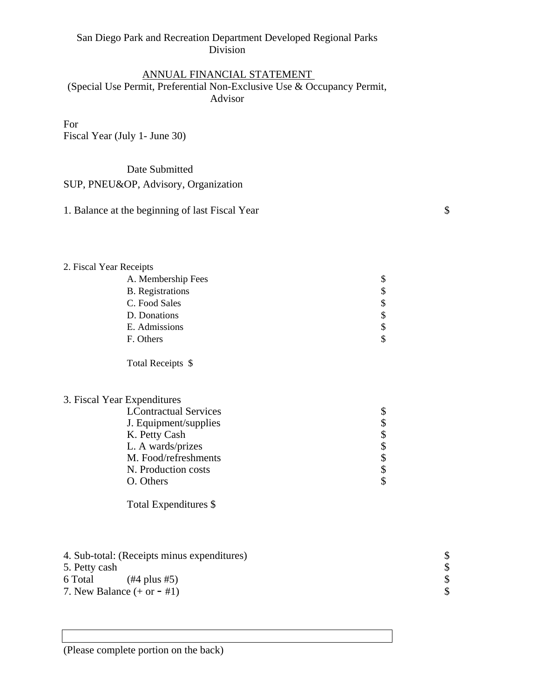# San Diego Park and Recreation Department Developed Regional Parks Division

# ANNUAL FINANCIAL STATEMENT (Special Use Permit, Preferential Non-Exclusive Use & Occupancy Permit, Advisor

For

Fiscal Year (July 1- June 30)

### Date Submitted

### SUP, PNEU&OP, Advisory, Organization

| 1. Balance at the beginning of last Fiscal Year |  |  |
|-------------------------------------------------|--|--|
|-------------------------------------------------|--|--|

#### 2. Fiscal Year Receipts

| A. Membership Fees      | \$ |
|-------------------------|----|
| <b>B.</b> Registrations | \$ |
| C. Food Sales           | \$ |
| D. Donations            | \$ |
| E. Admissions           | \$ |
| F. Others               | \$ |
|                         |    |
| Total Receipts \$       |    |

#### 3. Fiscal Year Expenditures

| $\sigma$ . Them Tem Experiences |    |
|---------------------------------|----|
| <b>LContractual Services</b>    | ₽  |
| J. Equipment/supplies           | \$ |
| K. Petty Cash                   | \$ |
| L. A wards/prizes               | \$ |
| M. Food/refreshments            | \$ |
| N. Production costs             | \$ |
| O. Others                       |    |
|                                 |    |

Total Expenditures \$

- 4. Sub-total: (Receipts minus expenditures)  $\begin{array}{c} \text{\$} \\ 5. \text{Petty cash} \\ 6. \text{Total} \\ \text{7. New Balance } (+ \text{ or } \#1) \\ \text{8. } \end{array}$
- 5. Petty cash \$
- 6 Total  $(\#4 \text{ plus } \#5)$
- 7. New Balance  $(+ or #1)$